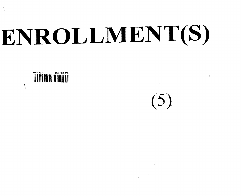# ENROLLMENT(S)



 $(5)$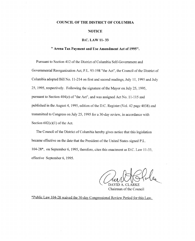## COUNCIL OF THE DISTRICT OF COLUMBIA

### NOTICE

## D.C. LAW 11- 33

## **" Arena Tax Payment and Use Amendment Act of 1995".**

Pursuant to Section 412 of the District of Columbia Self-Government and Governmental Reorganization Act, P.L. 93-198 "the Act", the Council of the District of Columbia adopted Bill No. 11-214 on first and second readings, July 11, 1995 and July 25, 1995, respectively. Following the signature of the Mayor on July 25, 1995, pursuant to Section 404(e) of "the Act", and was assigned Act No. 11-115 and published in the August 4, 1995, edition of the D.C. Register (Vol. 42 page 4038) and transmitted to Congress on July 25, 1995 for a 30-day review, in accordance with Section  $602(c)(1)$  of the Act.

The Council of the District of Columbia hereby gives notice that this legislation became effective on the date that the President of the United States signed P.L. 104-28", on September 6, 1995, therefore, cites this enactment as D.C. Law 11-33, effective September 6, 1995.

DAVID A. CLARKE

Chairman of the Council

\*Public Law 104-28 waived the 30-day Congressional Review Period for this Law.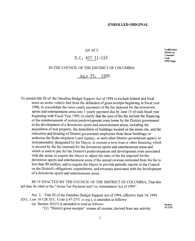# AN ACT

# D,C. ACT 11-115

*Codification District of Columbia Code* 1996 **Supp.**

## IN THE COUNCIL OF THE DISTRICT OF COLUMBIA

# JULY 25, 1995

To amend title III of the Omnibus Budget Support Act of 1994 to exclude federal and local taxes on motor vehicle fuel from the definition of gross receipts beginning in fiscal year 1996; to consolidate the twice yearly payments of the fee imposed for the downtown sports and entertainment arena into 1 yearly payment due by June 15 of each fiscal year beginning with Fiscal Year 1995; to clarify that the uses of the fee include the financing of the reimbursement of certain predevelopment costs borne by the District government in the development of a downtown sports and entertainment arena, including the acquisition of real property, the demolition of buildings located on the arena site, and the relocation and housing of District government employees from those buildings; to authorize the Redevelopment Land Agency, or such other District government agency or instrumentality designated by the Mayor, to execute a term loan or other financing which is secured by the fee imposed for the downtown sports and entertainment arena and which is used to pay for the District's predevelopment and development costs associated with the arena; to require the Mayor to adjust the rates of the fee imposed for the downtown sports and entertainment arena if the annual revenue estimated from the fee is less than \$9 million; and to require the Mayor to provide periodic reports to the Council on the District's obligations, expenditures, and revenues associated with the development of a downtown sports and entertainment arena.

BE IT ENACTED BY THE COUNCIL OF THE DISTRICT OF COLUMBIA, That this act may be cited as the "Arena Tax Payment and Use Amendment Act of 1995".

Sec. 2. Title III of the Omnibus Budget Support Act of 1994, effective June 14, 1994 (D.C. Law 10-128; D.C. Code § 47-2751 *et seq.),* is amended as follows:

(a) Section 301(1) is amended to read as follows:

"(1) "District gross receipts" means all income, derived from any activity

**Section** 47-2751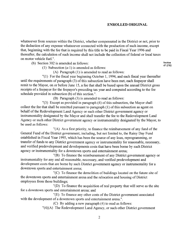whatsoever from sources within the District, whether compensated in the District or not, prior to the deduction of any expense whatsoever connected with the production of such income, except that, beginning with the fee that is required by this title to be paid in Fiscal Year 1996 and thereafter, the calculation of such income shall not include the collection of federal or local taxes on motor vehicle fuel.".

(b) Section 302 is amended as follows:

**Section** 47-2752

(1) Subsection (a-l) is amended as follows:

(A) Paragraph (1) is amended to read as follows:

"(1) For the fiscal year beginning October 1, 1994, and each fiscal year thereafter until the requirements of paragraph (3) of this subsection have been met, each feepayer shall remit to the Mayor, on or before June 15, a fee that shall be based upon the annual District gross receipts of a feepayer for the feepayer's preceding tax year and computed according to the fee schedule provided in subsection (b) of this section.".

(B) Paragraph (3) is amended to read as follows:

"(3) Except as provided in paragraph (4) of this subsection, the Mayor shall collect the fee that shall be remitted pursuant to paragraph (1) of this subsection as agent on behalf of the Redevelopment Land Agency or such other District government agency or instrumentality designated by the Mayor and shall transfer the fee to the Redevelopment Land Agency or such other District government agency or instrumentality designated by the Mayor, to be used as follows:

"(A) As a first priority, to finance the reimbursement of any fund of the General Fund of the District government, including, but not limited to, the Rainy Day Fund established in Fiscal Year 1995, which has been the source of any loan, reprogramming, or transfer of funds to any District government agency or instrumentality for reasonable, necessary, and verified predevelopment and developments costs that have been borne by such District agency or instrumentality for a downtown sports and entertainment arena;

"(B) To finance the reimbursement of any District government agency or instrumentality for any and all reasonable, necessary, and verified predevelopment and development costs that are borne by such District government agency or instrumentality for a downtown sports and entertainment arena;

"(C) To finance the demolition of buildings located on the future site of the downtown sports and entertainment arena and the relocation and housing of District employees from those buildings;

"(D) To finance the acquisition of real property that will serve as the site for a downtown sports and entertainment arena; and

"(E) To finance any other costs of the District government associated with the development of a downtown sports and entertainment arena.".

(C) By adding a new paragraph (4) to read as follows:

 $"(4)(A)$  The Redevelopment Land Agency, or such other District government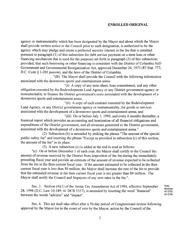agency or instrumentality which has been designated by the Mayor and about which the Mayor shall provide written notice to the Council prior to such designation, is authorized to be the agency which may pledge and create a perfected security interest in the fee that is remitted pursuant to paragraph (1) of this subsection for debt service payment on a term loan or other financing mechanism that is used for the purposes set forth in paragraph (3) of this subsection; provided, that such borrowing or other financing is consistent with the District of Columbia Self-Government and Governmental Reorganization Act, approved December 24, 1973 (87 Stat. 777; D.C. Code § 1-201 *passim),* and the laws of the District of Columbia.

"(B) The Mayor shall provide the Council with the following information associated with the downtown sports and entertainment arena:

"(i) A copy of any term sheet, loan commitment, and any other obligation executed by the Redevelopment Land Agency or any District government agency or instrumentality to finance the District government's costs associated with the development of a downtown sports and entertainment arena;

"(ii) A copy of each contract executed by the Redevelopment Land Agency, or any District government agency or instrumentality, for goods or services associated with the development of a downtown sports and entertainment arena; and

"(iii) On or before July 1, 1995, and every 6 months thereafter, a biannual report which provides an accounting and itemization of all financial obligations and expenditures of the District government, and all revenues generated to the District government, associated with the development of a downtown sports and entertainment arena.".

(2) Subsection (b) is amended by striking the phrase "The amount of the special public safety fee" and inserting the phrase "Except as provided in subsection (c) of this section, the amount of the fee" in its place.

(3) A new subsection (c) is added at the end to read as follows:

"(c) On or before December 1 of each year, the Mayor shall certify to the Council the amount of revenue received by the District from imposition of the fee during the immediately preceding fiscal year and provide an estimate of the amount of revenue expected to be collected from the fee in the then current fiscal year. If the amount estimated to be collected in the then current fiscal year is less than \$9 million, the Mayor shall increase the rate of the fee to provide that the estimated revenue in the then current fiscal year is not greater than \$9 million. The Mayor shall notify the Council and feepayers of any new rates in the fee.".

Sec. 3. Section (4)(1) of the Arena Tax Amendment Act of 1994, effective September 28, 1994 (D.C. Law 10-189; 41 DCR 5357), is amended by inserting the word "financial" between the words "adverse" and "impact". **Note,**

**Sections** 47-2752 47-2753

Sec. 4. This act shall take effect after a 30-day period of Congressional review following approval by the Mayor (or in the event of veto by the Mayor, action by the Council of the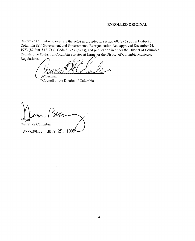District of Columbia to override the veto) as provided in section 602(c)(1) of the District of Columbia Self-Govermnent and Governmental Reorganization Act, approved December 24, 1973 (87 Stat. 813; D.C. Code § 1-233(c)(1)), and publication in either the District of Columbia Register, the District of Columbia Statutes-at-Large, or the District of Columbia Municipal Regulations.

 $\mathcal{L}$ hairman

Council of the District of Columbia

Mayol District of Columbia APPROVED: JULY 25, 1995